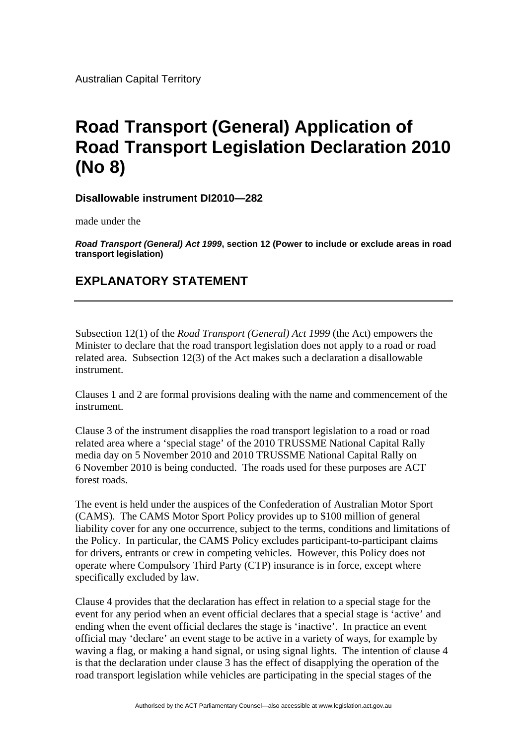Australian Capital Territory

## **Road Transport (General) Application of Road Transport Legislation Declaration 2010 (No 8)**

**Disallowable instrument DI2010—282**

made under the

*Road Transport (General) Act 1999***, section 12 (Power to include or exclude areas in road transport legislation)**

## **EXPLANATORY STATEMENT**

Subsection 12(1) of the *Road Transport (General) Act 1999* (the Act) empowers the Minister to declare that the road transport legislation does not apply to a road or road related area. Subsection 12(3) of the Act makes such a declaration a disallowable instrument.

Clauses 1 and 2 are formal provisions dealing with the name and commencement of the instrument.

Clause 3 of the instrument disapplies the road transport legislation to a road or road related area where a 'special stage' of the 2010 TRUSSME National Capital Rally media day on 5 November 2010 and 2010 TRUSSME National Capital Rally on 6 November 2010 is being conducted. The roads used for these purposes are ACT forest roads.

The event is held under the auspices of the Confederation of Australian Motor Sport (CAMS). The CAMS Motor Sport Policy provides up to \$100 million of general liability cover for any one occurrence, subject to the terms, conditions and limitations of the Policy. In particular, the CAMS Policy excludes participant-to-participant claims for drivers, entrants or crew in competing vehicles. However, this Policy does not operate where Compulsory Third Party (CTP) insurance is in force, except where specifically excluded by law.

Clause 4 provides that the declaration has effect in relation to a special stage for the event for any period when an event official declares that a special stage is 'active' and ending when the event official declares the stage is 'inactive'. In practice an event official may 'declare' an event stage to be active in a variety of ways, for example by waving a flag, or making a hand signal, or using signal lights. The intention of clause 4 is that the declaration under clause 3 has the effect of disapplying the operation of the road transport legislation while vehicles are participating in the special stages of the